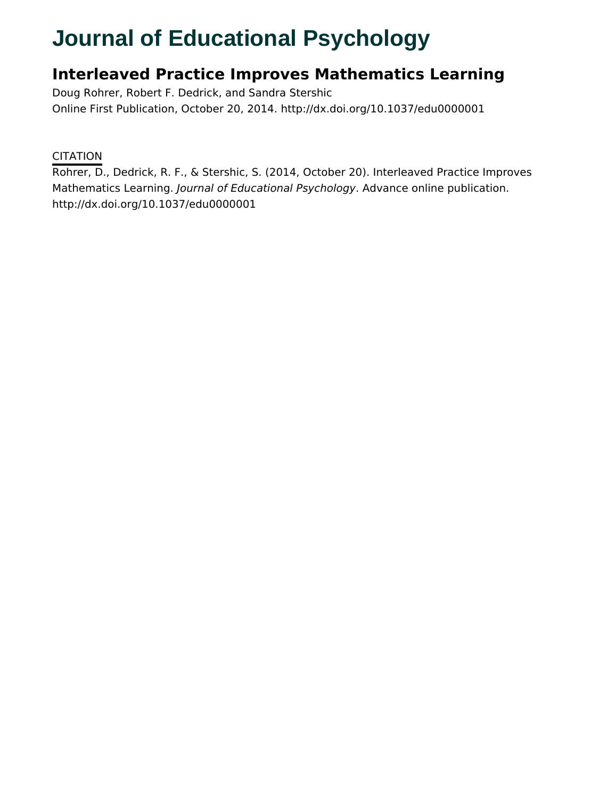# **Journal of Educational Psychology**

# **Interleaved Practice Improves Mathematics Learning**

Doug Rohrer, Robert F. Dedrick, and Sandra Stershic Online First Publication, October 20, 2014. http://dx.doi.org/10.1037/edu0000001

## CITATION

Rohrer, D., Dedrick, R. F., & Stershic, S. (2014, October 20). Interleaved Practice Improves Mathematics Learning. Journal of Educational Psychology. Advance online publication. http://dx.doi.org/10.1037/edu0000001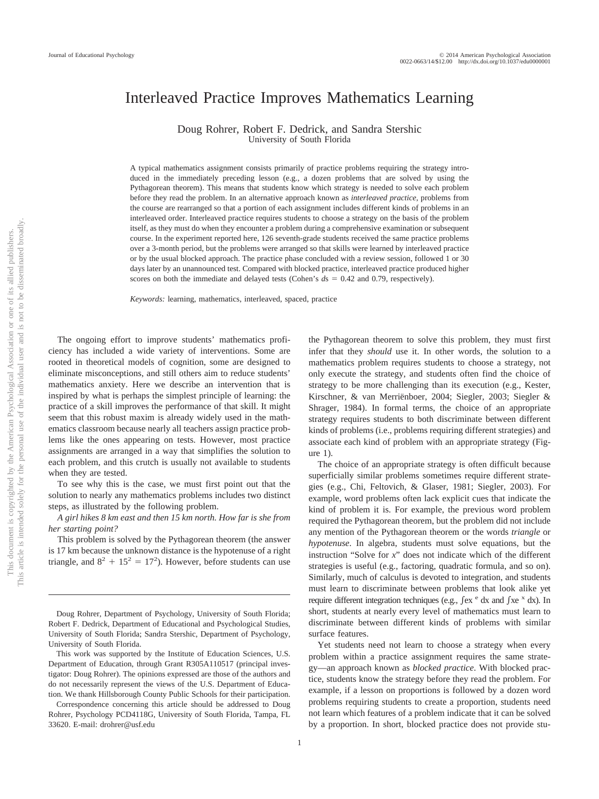# Interleaved Practice Improves Mathematics Learning

Doug Rohrer, Robert F. Dedrick, and Sandra Stershic University of South Florida

A typical mathematics assignment consists primarily of practice problems requiring the strategy introduced in the immediately preceding lesson (e.g., a dozen problems that are solved by using the Pythagorean theorem). This means that students know which strategy is needed to solve each problem before they read the problem. In an alternative approach known as *interleaved practice*, problems from the course are rearranged so that a portion of each assignment includes different kinds of problems in an interleaved order. Interleaved practice requires students to choose a strategy on the basis of the problem itself, as they must do when they encounter a problem during a comprehensive examination or subsequent course. In the experiment reported here, 126 seventh-grade students received the same practice problems over a 3-month period, but the problems were arranged so that skills were learned by interleaved practice or by the usual blocked approach. The practice phase concluded with a review session, followed 1 or 30 days later by an unannounced test. Compared with blocked practice, interleaved practice produced higher scores on both the immediate and delayed tests (Cohen's  $ds = 0.42$  and 0.79, respectively).

*Keywords:* learning, mathematics, interleaved, spaced, practice

The ongoing effort to improve students' mathematics proficiency has included a wide variety of interventions. Some are rooted in theoretical models of cognition, some are designed to eliminate misconceptions, and still others aim to reduce students' mathematics anxiety. Here we describe an intervention that is inspired by what is perhaps the simplest principle of learning: the practice of a skill improves the performance of that skill. It might seem that this robust maxim is already widely used in the mathematics classroom because nearly all teachers assign practice problems like the ones appearing on tests. However, most practice assignments are arranged in a way that simplifies the solution to each problem, and this crutch is usually not available to students when they are tested.

To see why this is the case, we must first point out that the solution to nearly any mathematics problems includes two distinct steps, as illustrated by the following problem.

*A girl hikes 8 km east and then 15 km north. How far is she from her starting point?*

This problem is solved by the Pythagorean theorem (the answer is 17 km because the unknown distance is the hypotenuse of a right triangle, and  $8^2 + 15^2 = 17^2$ ). However, before students can use the Pythagorean theorem to solve this problem, they must first infer that they *should* use it. In other words, the solution to a mathematics problem requires students to choose a strategy, not only execute the strategy, and students often find the choice of strategy to be more challenging than its execution (e.g., Kester, Kirschner, & van Merriënboer, 2004; Siegler, 2003; Siegler & Shrager, 1984). In formal terms, the choice of an appropriate strategy requires students to both discriminate between different kinds of problems (i.e., problems requiring different strategies) and associate each kind of problem with an appropriate strategy (Figure 1).

The choice of an appropriate strategy is often difficult because superficially similar problems sometimes require different strategies (e.g., Chi, Feltovich, & Glaser, 1981; Siegler, 2003). For example, word problems often lack explicit cues that indicate the kind of problem it is. For example, the previous word problem required the Pythagorean theorem, but the problem did not include any mention of the Pythagorean theorem or the words *triangle* or *hypotenuse*. In algebra, students must solve equations, but the instruction "Solve for *x*" does not indicate which of the different strategies is useful (e.g., factoring, quadratic formula, and so on). Similarly, much of calculus is devoted to integration, and students must learn to discriminate between problems that look alike yet require different integration techniques (e.g.,  $\int$ ex  $e^{i} dx$  and  $\int$ xe  $x dx$ ). In short, students at nearly every level of mathematics must learn to discriminate between different kinds of problems with similar surface features.

Yet students need not learn to choose a strategy when every problem within a practice assignment requires the same strategy—an approach known as *blocked practice*. With blocked practice, students know the strategy before they read the problem. For example, if a lesson on proportions is followed by a dozen word problems requiring students to create a proportion, students need not learn which features of a problem indicate that it can be solved by a proportion. In short, blocked practice does not provide stu-

Doug Rohrer, Department of Psychology, University of South Florida; Robert F. Dedrick, Department of Educational and Psychological Studies, University of South Florida; Sandra Stershic, Department of Psychology, University of South Florida.

This work was supported by the Institute of Education Sciences, U.S. Department of Education, through Grant R305A110517 (principal investigator: Doug Rohrer). The opinions expressed are those of the authors and do not necessarily represent the views of the U.S. Department of Education. We thank Hillsborough County Public Schools for their participation.

Correspondence concerning this article should be addressed to Doug Rohrer, Psychology PCD4118G, University of South Florida, Tampa, FL 33620. E-mail: drohrer@usf.edu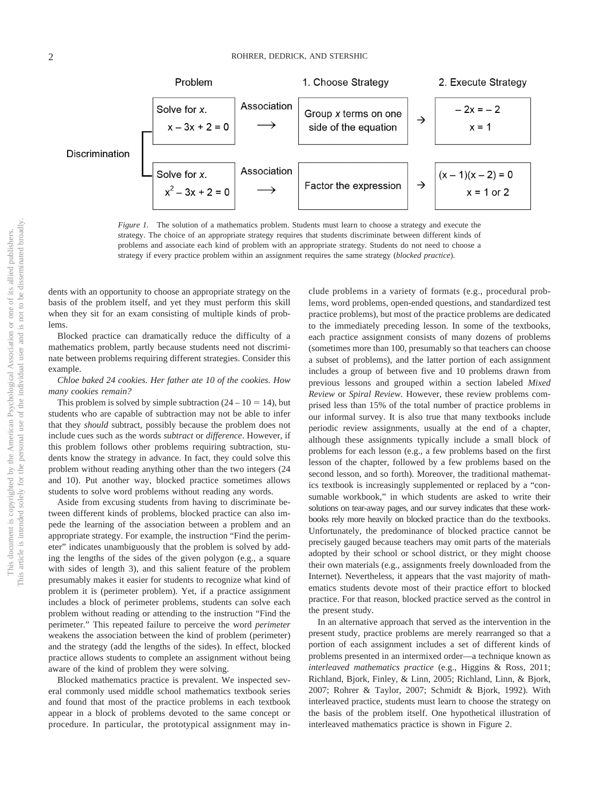

*Figure 1.* The solution of a mathematics problem. Students must learn to choose a strategy and execute the strategy. The choice of an appropriate strategy requires that students discriminate between different kinds of problems and associate each kind of problem with an appropriate strategy. Students do not need to choose a strategy if every practice problem within an assignment requires the same strategy (*blocked practice*).

dents with an opportunity to choose an appropriate strategy on the basis of the problem itself, and yet they must perform this skill when they sit for an exam consisting of multiple kinds of problems.

Blocked practice can dramatically reduce the difficulty of a mathematics problem, partly because students need not discriminate between problems requiring different strategies. Consider this example.

#### *Chloe baked 24 cookies. Her father ate 10 of the cookies. How many cookies remain?*

This problem is solved by simple subtraction  $(24 – 10 = 14)$ , but students who are capable of subtraction may not be able to infer that they *should* subtract, possibly because the problem does not include cues such as the words *subtract* or *difference*. However, if this problem follows other problems requiring subtraction, students know the strategy in advance. In fact, they could solve this problem without reading anything other than the two integers (24 and 10). Put another way, blocked practice sometimes allows students to solve word problems without reading any words.

Aside from excusing students from having to discriminate between different kinds of problems, blocked practice can also impede the learning of the association between a problem and an appropriate strategy. For example, the instruction "Find the perimeter" indicates unambiguously that the problem is solved by adding the lengths of the sides of the given polygon (e.g., a square with sides of length 3), and this salient feature of the problem presumably makes it easier for students to recognize what kind of problem it is (perimeter problem). Yet, if a practice assignment includes a block of perimeter problems, students can solve each problem without reading or attending to the instruction "Find the perimeter." This repeated failure to perceive the word *perimeter* weakens the association between the kind of problem (perimeter) and the strategy (add the lengths of the sides). In effect, blocked practice allows students to complete an assignment without being aware of the kind of problem they were solving.

Blocked mathematics practice is prevalent. We inspected several commonly used middle school mathematics textbook series and found that most of the practice problems in each textbook appear in a block of problems devoted to the same concept or procedure. In particular, the prototypical assignment may in-

clude problems in a variety of formats (e.g., procedural problems, word problems, open-ended questions, and standardized test practice problems), but most of the practice problems are dedicated to the immediately preceding lesson. In some of the textbooks, each practice assignment consists of many dozens of problems (sometimes more than 100, presumably so that teachers can choose a subset of problems), and the latter portion of each assignment includes a group of between five and 10 problems drawn from previous lessons and grouped within a section labeled *Mixed Review* or *Spiral Review*. However, these review problems comprised less than 15% of the total number of practice problems in our informal survey. It is also true that many textbooks include periodic review assignments, usually at the end of a chapter, although these assignments typically include a small block of problems for each lesson (e.g., a few problems based on the first lesson of the chapter, followed by a few problems based on the second lesson, and so forth). Moreover, the traditional mathematics textbook is increasingly supplemented or replaced by a "consumable workbook," in which students are asked to write their solutions on tear-away pages, and our survey indicates that these workbooks rely more heavily on blocked practice than do the textbooks. Unfortunately, the predominance of blocked practice cannot be precisely gauged because teachers may omit parts of the materials adopted by their school or school district, or they might choose their own materials (e.g., assignments freely downloaded from the Internet). Nevertheless, it appears that the vast majority of mathematics students devote most of their practice effort to blocked practice. For that reason, blocked practice served as the control in the present study.

In an alternative approach that served as the intervention in the present study, practice problems are merely rearranged so that a portion of each assignment includes a set of different kinds of problems presented in an intermixed order—a technique known as *interleaved mathematics practice* (e.g., Higgins & Ross, 2011; Richland, Bjork, Finley, & Linn, 2005; Richland, Linn, & Bjork, 2007; Rohrer & Taylor, 2007; Schmidt & Bjork, 1992). With interleaved practice, students must learn to choose the strategy on the basis of the problem itself. One hypothetical illustration of interleaved mathematics practice is shown in Figure 2.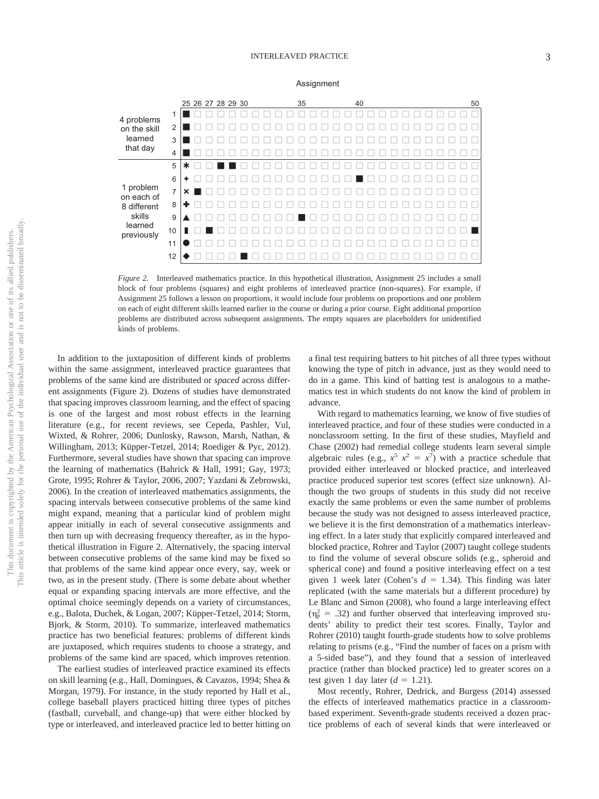#### INTERLEAVED PRACTICE 3

Assignment



*Figure 2.* Interleaved mathematics practice. In this hypothetical illustration, Assignment 25 includes a small block of four problems (squares) and eight problems of interleaved practice (non-squares). For example, if Assignment 25 follows a lesson on proportions, it would include four problems on proportions and one problem on each of eight different skills learned earlier in the course or during a prior course. Eight additional proportion problems are distributed across subsequent assignments. The empty squares are placeholders for unidentified kinds of problems.

In addition to the juxtaposition of different kinds of problems within the same assignment, interleaved practice guarantees that problems of the same kind are distributed or *spaced* across different assignments (Figure 2). Dozens of studies have demonstrated that spacing improves classroom learning, and the effect of spacing is one of the largest and most robust effects in the learning literature (e.g., for recent reviews, see Cepeda, Pashler, Vul, Wixted, & Rohrer, 2006; Dunlosky, Rawson, Marsh, Nathan, & Willingham, 2013; Küpper-Tetzel, 2014; Roediger & Pyc, 2012). Furthermore, several studies have shown that spacing can improve the learning of mathematics (Bahrick & Hall, 1991; Gay, 1973; Grote, 1995; Rohrer & Taylor, 2006, 2007; Yazdani & Zebrowski, 2006). In the creation of interleaved mathematics assignments, the spacing intervals between consecutive problems of the same kind might expand, meaning that a particular kind of problem might appear initially in each of several consecutive assignments and then turn up with decreasing frequency thereafter, as in the hypothetical illustration in Figure 2. Alternatively, the spacing interval between consecutive problems of the same kind may be fixed so that problems of the same kind appear once every, say, week or two, as in the present study. (There is some debate about whether equal or expanding spacing intervals are more effective, and the optimal choice seemingly depends on a variety of circumstances, e.g., Balota, Duchek, & Logan, 2007; Küpper-Tetzel, 2014; Storm, Bjork, & Storm, 2010). To summarize, interleaved mathematics practice has two beneficial features: problems of different kinds are juxtaposed, which requires students to choose a strategy, and problems of the same kind are spaced, which improves retention.

The earliest studies of interleaved practice examined its effects on skill learning (e.g., Hall, Domingues, & Cavazos, 1994; Shea & Morgan, 1979). For instance, in the study reported by Hall et al., college baseball players practiced hitting three types of pitches (fastball, curveball, and change-up) that were either blocked by type or interleaved, and interleaved practice led to better hitting on a final test requiring batters to hit pitches of all three types without knowing the type of pitch in advance, just as they would need to do in a game. This kind of batting test is analogous to a mathematics test in which students do not know the kind of problem in advance.

With regard to mathematics learning, we know of five studies of interleaved practice, and four of these studies were conducted in a nonclassroom setting. In the first of these studies, Mayfield and Chase (2002) had remedial college students learn several simple algebraic rules (e.g.,  $x^5$   $x^2 = x^7$ ) with a practice schedule that provided either interleaved or blocked practice, and interleaved practice produced superior test scores (effect size unknown). Although the two groups of students in this study did not receive exactly the same problems or even the same number of problems because the study was not designed to assess interleaved practice, we believe it is the first demonstration of a mathematics interleaving effect. In a later study that explicitly compared interleaved and blocked practice, Rohrer and Taylor (2007) taught college students to find the volume of several obscure solids (e.g., spheroid and spherical cone) and found a positive interleaving effect on a test given 1 week later (Cohen's  $d = 1.34$ ). This finding was later replicated (with the same materials but a different procedure) by Le Blanc and Simon (2008), who found a large interleaving effect  $(\eta_{\rm p}^2 = .32)$  and further observed that interleaving improved students' ability to predict their test scores. Finally, Taylor and Rohrer (2010) taught fourth-grade students how to solve problems relating to prisms (e.g., "Find the number of faces on a prism with a 5-sided base"), and they found that a session of interleaved practice (rather than blocked practice) led to greater scores on a test given 1 day later  $(d = 1.21)$ .

Most recently, Rohrer, Dedrick, and Burgess (2014) assessed the effects of interleaved mathematics practice in a classroombased experiment. Seventh-grade students received a dozen practice problems of each of several kinds that were interleaved or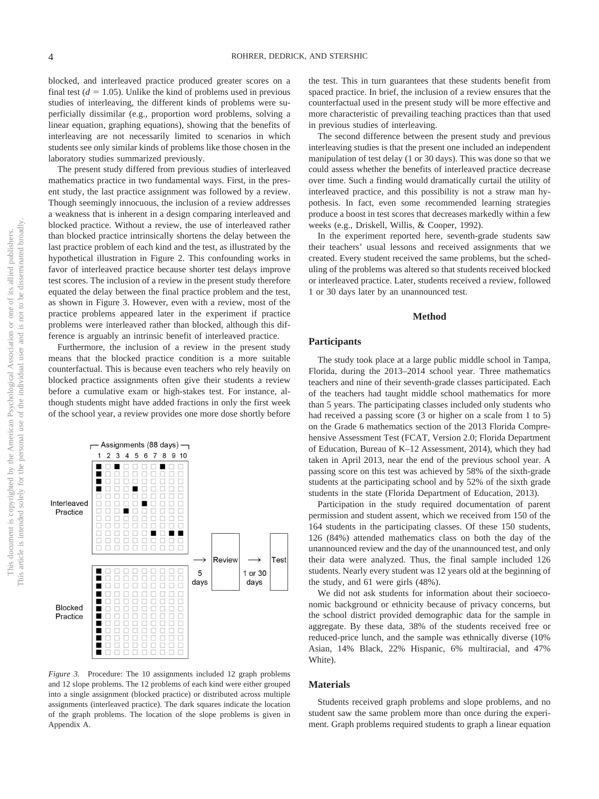blocked, and interleaved practice produced greater scores on a final test  $(d = 1.05)$ . Unlike the kind of problems used in previous studies of interleaving, the different kinds of problems were superficially dissimilar (e.g., proportion word problems, solving a linear equation, graphing equations), showing that the benefits of interleaving are not necessarily limited to scenarios in which students see only similar kinds of problems like those chosen in the laboratory studies summarized previously.

The present study differed from previous studies of interleaved mathematics practice in two fundamental ways. First, in the present study, the last practice assignment was followed by a review. Though seemingly innocuous, the inclusion of a review addresses a weakness that is inherent in a design comparing interleaved and blocked practice. Without a review, the use of interleaved rather than blocked practice intrinsically shortens the delay between the last practice problem of each kind and the test, as illustrated by the hypothetical illustration in Figure 2. This confounding works in favor of interleaved practice because shorter test delays improve test scores. The inclusion of a review in the present study therefore equated the delay between the final practice problem and the test, as shown in Figure 3. However, even with a review, most of the practice problems appeared later in the experiment if practice problems were interleaved rather than blocked, although this difference is arguably an intrinsic benefit of interleaved practice.

Furthermore, the inclusion of a review in the present study means that the blocked practice condition is a more suitable counterfactual. This is because even teachers who rely heavily on blocked practice assignments often give their students a review before a cumulative exam or high-stakes test. For instance, although students might have added fractions in only the first week of the school year, a review provides one more dose shortly before



*Figure 3.* Procedure: The 10 assignments included 12 graph problems and 12 slope problems. The 12 problems of each kind were either grouped into a single assignment (blocked practice) or distributed across multiple assignments (interleaved practice). The dark squares indicate the location of the graph problems. The location of the slope problems is given in Appendix A.

the test. This in turn guarantees that these students benefit from spaced practice. In brief, the inclusion of a review ensures that the counterfactual used in the present study will be more effective and more characteristic of prevailing teaching practices than that used in previous studies of interleaving.

The second difference between the present study and previous interleaving studies is that the present one included an independent manipulation of test delay (1 or 30 days). This was done so that we could assess whether the benefits of interleaved practice decrease over time. Such a finding would dramatically curtail the utility of interleaved practice, and this possibility is not a straw man hypothesis. In fact, even some recommended learning strategies produce a boost in test scores that decreases markedly within a few weeks (e.g., Driskell, Willis, & Cooper, 1992).

In the experiment reported here, seventh-grade students saw their teachers' usual lessons and received assignments that we created. Every student received the same problems, but the scheduling of the problems was altered so that students received blocked or interleaved practice. Later, students received a review, followed 1 or 30 days later by an unannounced test.

#### **Method**

#### **Participants**

The study took place at a large public middle school in Tampa, Florida, during the 2013–2014 school year. Three mathematics teachers and nine of their seventh-grade classes participated. Each of the teachers had taught middle school mathematics for more than 5 years. The participating classes included only students who had received a passing score (3 or higher on a scale from 1 to 5) on the Grade 6 mathematics section of the 2013 Florida Comprehensive Assessment Test (FCAT, Version 2.0; Florida Department of Education, Bureau of K–12 Assessment, 2014), which they had taken in April 2013, near the end of the previous school year. A passing score on this test was achieved by 58% of the sixth-grade students at the participating school and by 52% of the sixth grade students in the state (Florida Department of Education, 2013).

Participation in the study required documentation of parent permission and student assent, which we received from 150 of the 164 students in the participating classes. Of these 150 students, 126 (84%) attended mathematics class on both the day of the unannounced review and the day of the unannounced test, and only their data were analyzed. Thus, the final sample included 126 students. Nearly every student was 12 years old at the beginning of the study, and 61 were girls (48%).

We did not ask students for information about their socioeconomic background or ethnicity because of privacy concerns, but the school district provided demographic data for the sample in aggregate. By these data, 38% of the students received free or reduced-price lunch, and the sample was ethnically diverse (10% Asian, 14% Black, 22% Hispanic, 6% multiracial, and 47% White).

#### **Materials**

Students received graph problems and slope problems, and no student saw the same problem more than once during the experiment. Graph problems required students to graph a linear equation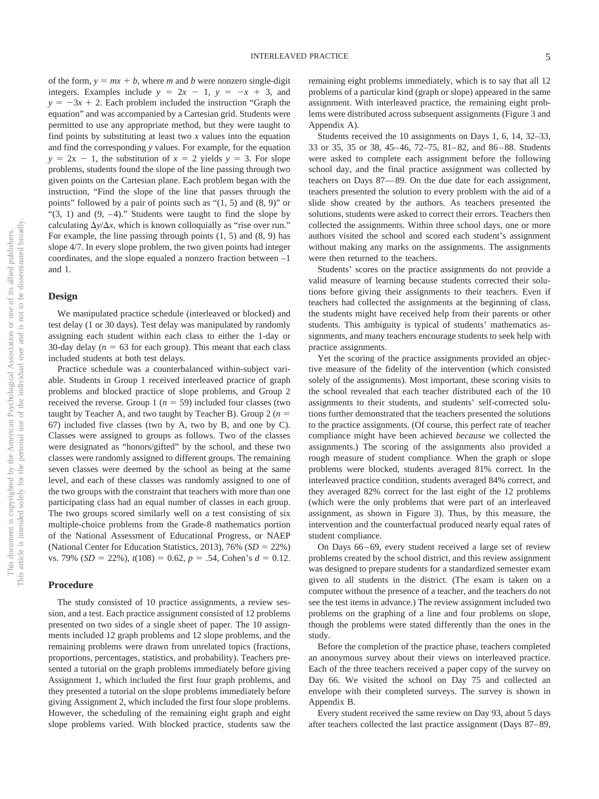of the form,  $y = mx + b$ , where *m* and *b* were nonzero single-digit integers. Examples include  $y = 2x - 1$ ,  $y = -x + 3$ , and  $y = -3x + 2$ . Each problem included the instruction "Graph the equation" and was accompanied by a Cartesian grid. Students were permitted to use any appropriate method, but they were taught to find points by substituting at least two *x* values into the equation and find the corresponding *y* values. For example, for the equation  $y = 2x - 1$ , the substitution of  $x = 2$  yields  $y = 3$ . For slope problems, students found the slope of the line passing through two given points on the Cartesian plane. Each problem began with the instruction, "Find the slope of the line that passes through the points" followed by a pair of points such as "(1, 5) and (8, 9)" or " $(3, 1)$  and  $(9, -4)$ ." Students were taught to find the slope by calculating  $\Delta y/\Delta x$ , which is known colloquially as "rise over run." For example, the line passing through points  $(1, 5)$  and  $(8, 9)$  has slope 4/7. In every slope problem, the two given points had integer coordinates, and the slope equaled a nonzero fraction between –1 and 1.

#### **Design**

We manipulated practice schedule (interleaved or blocked) and test delay (1 or 30 days). Test delay was manipulated by randomly assigning each student within each class to either the 1-day or 30-day delay  $(n = 63$  for each group). This meant that each class included students at both test delays.

Practice schedule was a counterbalanced within-subject variable. Students in Group 1 received interleaved practice of graph problems and blocked practice of slope problems, and Group 2 received the reverse. Group  $1 (n = 59)$  included four classes (two taught by Teacher A, and two taught by Teacher B). Group  $2(n =$ 67) included five classes (two by A, two by B, and one by C). Classes were assigned to groups as follows. Two of the classes were designated as "honors/gifted" by the school, and these two classes were randomly assigned to different groups. The remaining seven classes were deemed by the school as being at the same level, and each of these classes was randomly assigned to one of the two groups with the constraint that teachers with more than one participating class had an equal number of classes in each group. The two groups scored similarly well on a test consisting of six multiple-choice problems from the Grade-8 mathematics portion of the National Assessment of Educational Progress, or NAEP (National Center for Education Statistics, 2013), 76% (*SD* = 22%) vs. 79% ( $SD = 22\%$ ),  $t(108) = 0.62$ ,  $p = .54$ , Cohen's  $d = 0.12$ .

#### **Procedure**

The study consisted of 10 practice assignments, a review session, and a test. Each practice assignment consisted of 12 problems presented on two sides of a single sheet of paper. The 10 assignments included 12 graph problems and 12 slope problems, and the remaining problems were drawn from unrelated topics (fractions, proportions, percentages, statistics, and probability). Teachers presented a tutorial on the graph problems immediately before giving Assignment 1, which included the first four graph problems, and they presented a tutorial on the slope problems immediately before giving Assignment 2, which included the first four slope problems. However, the scheduling of the remaining eight graph and eight slope problems varied. With blocked practice, students saw the

remaining eight problems immediately, which is to say that all 12 problems of a particular kind (graph or slope) appeared in the same assignment. With interleaved practice, the remaining eight problems were distributed across subsequent assignments (Figure 3 and Appendix A).

Students received the 10 assignments on Days 1, 6, 14, 32–33, 33 or 35, 35 or 38, 45– 46, 72–75, 81– 82, and 86 – 88. Students were asked to complete each assignment before the following school day, and the final practice assignment was collected by teachers on Days 87–– 89. On the due date for each assignment, teachers presented the solution to every problem with the aid of a slide show created by the authors. As teachers presented the solutions, students were asked to correct their errors. Teachers then collected the assignments. Within three school days, one or more authors visited the school and scored each student's assignment without making any marks on the assignments. The assignments were then returned to the teachers.

Students' scores on the practice assignments do not provide a valid measure of learning because students corrected their solutions before giving their assignments to their teachers. Even if teachers had collected the assignments at the beginning of class, the students might have received help from their parents or other students. This ambiguity is typical of students' mathematics assignments, and many teachers encourage students to seek help with practice assignments.

Yet the scoring of the practice assignments provided an objective measure of the fidelity of the intervention (which consisted solely of the assignments). Most important, these scoring visits to the school revealed that each teacher distributed each of the 10 assignments to their students, and students' self-corrected solutions further demonstrated that the teachers presented the solutions to the practice assignments. (Of course, this perfect rate of teacher compliance might have been achieved *because* we collected the assignments.) The scoring of the assignments also provided a rough measure of student compliance. When the graph or slope problems were blocked, students averaged 81% correct. In the interleaved practice condition, students averaged 84% correct, and they averaged 82% correct for the last eight of the 12 problems (which were the only problems that were part of an interleaved assignment, as shown in Figure 3). Thus, by this measure, the intervention and the counterfactual produced nearly equal rates of student compliance.

On Days 66-69, every student received a large set of review problems created by the school district, and this review assignment was designed to prepare students for a standardized semester exam given to all students in the district. (The exam is taken on a computer without the presence of a teacher, and the teachers do not see the test items in advance.) The review assignment included two problems on the graphing of a line and four problems on slope, though the problems were stated differently than the ones in the study.

Before the completion of the practice phase, teachers completed an anonymous survey about their views on interleaved practice. Each of the three teachers received a paper copy of the survey on Day 66. We visited the school on Day 75 and collected an envelope with their completed surveys. The survey is shown in Appendix B.

Every student received the same review on Day 93, about 5 days after teachers collected the last practice assignment (Days 87– 89,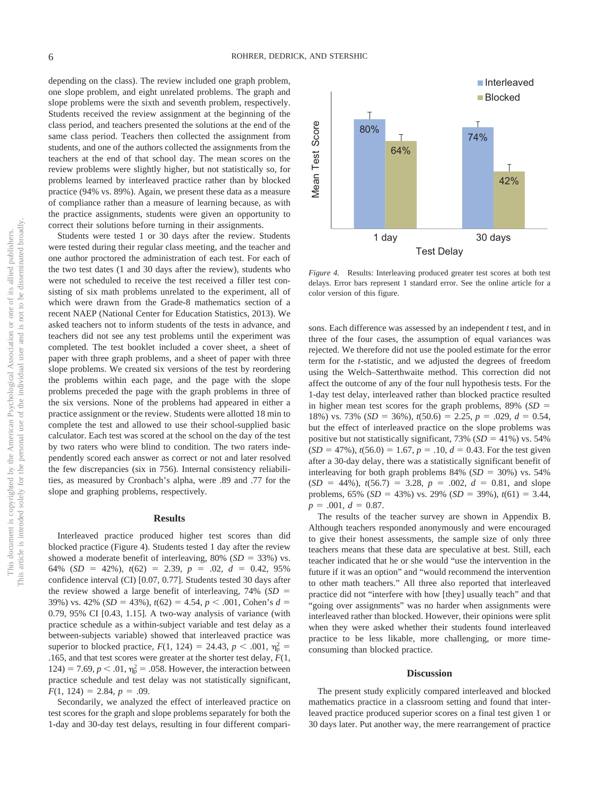depending on the class). The review included one graph problem, one slope problem, and eight unrelated problems. The graph and slope problems were the sixth and seventh problem, respectively. Students received the review assignment at the beginning of the class period, and teachers presented the solutions at the end of the same class period. Teachers then collected the assignment from students, and one of the authors collected the assignments from the teachers at the end of that school day. The mean scores on the review problems were slightly higher, but not statistically so, for problems learned by interleaved practice rather than by blocked practice (94% vs. 89%). Again, we present these data as a measure of compliance rather than a measure of learning because, as with the practice assignments, students were given an opportunity to correct their solutions before turning in their assignments.

Students were tested 1 or 30 days after the review. Students were tested during their regular class meeting, and the teacher and one author proctored the administration of each test. For each of the two test dates (1 and 30 days after the review), students who were not scheduled to receive the test received a filler test consisting of six math problems unrelated to the experiment, all of which were drawn from the Grade-8 mathematics section of a recent NAEP (National Center for Education Statistics, 2013). We asked teachers not to inform students of the tests in advance, and teachers did not see any test problems until the experiment was completed. The test booklet included a cover sheet, a sheet of paper with three graph problems, and a sheet of paper with three slope problems. We created six versions of the test by reordering the problems within each page, and the page with the slope problems preceded the page with the graph problems in three of the six versions. None of the problems had appeared in either a practice assignment or the review. Students were allotted 18 min to complete the test and allowed to use their school-supplied basic calculator. Each test was scored at the school on the day of the test by two raters who were blind to condition. The two raters independently scored each answer as correct or not and later resolved the few discrepancies (six in 756). Internal consistency reliabilities, as measured by Cronbach's alpha, were .89 and .77 for the slope and graphing problems, respectively.

#### **Results**

Interleaved practice produced higher test scores than did blocked practice (Figure 4). Students tested 1 day after the review showed a moderate benefit of interleaving,  $80\%$  ( $SD = 33\%$ ) vs.  $64\%$  (*SD* = 42%),  $t(62)$  = 2.39,  $p = .02$ ,  $d = 0.42$ , 95% confidence interval (CI) [0.07, 0.77]. Students tested 30 days after the review showed a large benefit of interleaving,  $74\%$  ( $SD =$ 39%) vs. 42% ( $SD = 43\%$ ),  $t(62) = 4.54$ ,  $p < .001$ , Cohen's  $d =$ 0.79, 95% CI [0.43, 1.15]. A two-way analysis of variance (with practice schedule as a within-subject variable and test delay as a between-subjects variable) showed that interleaved practice was superior to blocked practice,  $F(1, 124) = 24.43$ ,  $p < .001$ ,  $\eta_p^2 =$ .165, and that test scores were greater at the shorter test delay, *F*(1, 124) = 7.69,  $p < .01$ ,  $\eta_p^2 = .058$ . However, the interaction between practice schedule and test delay was not statistically significant,  $F(1, 124) = 2.84, p = .09.$ 

Secondarily, we analyzed the effect of interleaved practice on test scores for the graph and slope problems separately for both the 1-day and 30-day test delays, resulting in four different compari-



*Figure 4.* Results: Interleaving produced greater test scores at both test delays. Error bars represent 1 standard error. See the online article for a color version of this figure.

sons. Each difference was assessed by an independent *t* test, and in three of the four cases, the assumption of equal variances was rejected. We therefore did not use the pooled estimate for the error term for the *t*-statistic, and we adjusted the degrees of freedom using the Welch–Satterthwaite method. This correction did not affect the outcome of any of the four null hypothesis tests. For the 1-day test delay, interleaved rather than blocked practice resulted in higher mean test scores for the graph problems,  $89\%$  (*SD* = 18%) vs. 73% ( $SD = 36$ %),  $t(50.6) = 2.25$ ,  $p = .029$ ,  $d = 0.54$ , but the effect of interleaved practice on the slope problems was positive but not statistically significant,  $73\%$  ( $SD = 41\%$ ) vs. 54%  $(SD = 47\%)$ ,  $t(56.0) = 1.67$ ,  $p = .10$ ,  $d = 0.43$ . For the test given after a 30-day delay, there was a statistically significant benefit of interleaving for both graph problems  $84\%$  ( $SD = 30\%$ ) vs. 54%  $(SD = 44\%), t(56.7) = 3.28, p = .002, d = 0.81, and slope$ problems,  $65\%$  (*SD* = 43%) vs. 29% (*SD* = 39%),  $t(61) = 3.44$ ,  $p = .001, d = 0.87.$ 

The results of the teacher survey are shown in Appendix B. Although teachers responded anonymously and were encouraged to give their honest assessments, the sample size of only three teachers means that these data are speculative at best. Still, each teacher indicated that he or she would "use the intervention in the future if it was an option" and "would recommend the intervention to other math teachers." All three also reported that interleaved practice did not "interfere with how [they] usually teach" and that "going over assignments" was no harder when assignments were interleaved rather than blocked. However, their opinions were split when they were asked whether their students found interleaved practice to be less likable, more challenging, or more timeconsuming than blocked practice.

#### **Discussion**

The present study explicitly compared interleaved and blocked mathematics practice in a classroom setting and found that interleaved practice produced superior scores on a final test given 1 or 30 days later. Put another way, the mere rearrangement of practice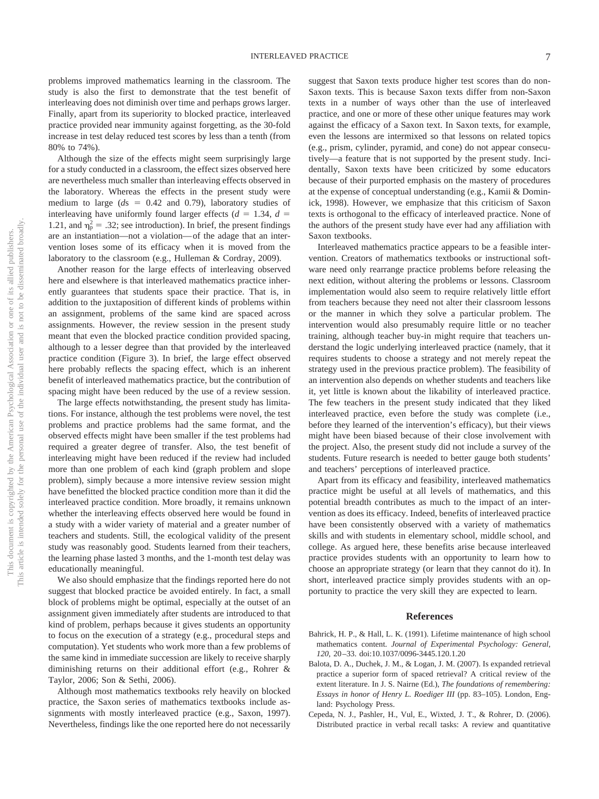problems improved mathematics learning in the classroom. The study is also the first to demonstrate that the test benefit of interleaving does not diminish over time and perhaps grows larger. Finally, apart from its superiority to blocked practice, interleaved practice provided near immunity against forgetting, as the 30-fold increase in test delay reduced test scores by less than a tenth (from 80% to 74%).

Although the size of the effects might seem surprisingly large for a study conducted in a classroom, the effect sizes observed here are nevertheless much smaller than interleaving effects observed in the laboratory. Whereas the effects in the present study were medium to large  $(ds = 0.42$  and 0.79), laboratory studies of interleaving have uniformly found larger effects  $(d = 1.34, d =$ 1.21, and  $\eta_p^2 = 0.32$ ; see introduction). In brief, the present findings are an instantiation—not a violation— of the adage that an intervention loses some of its efficacy when it is moved from the laboratory to the classroom (e.g., Hulleman & Cordray, 2009).

Another reason for the large effects of interleaving observed here and elsewhere is that interleaved mathematics practice inherently guarantees that students space their practice. That is, in addition to the juxtaposition of different kinds of problems within an assignment, problems of the same kind are spaced across assignments. However, the review session in the present study meant that even the blocked practice condition provided spacing, although to a lesser degree than that provided by the interleaved practice condition (Figure 3). In brief, the large effect observed here probably reflects the spacing effect, which is an inherent benefit of interleaved mathematics practice, but the contribution of spacing might have been reduced by the use of a review session.

The large effects notwithstanding, the present study has limitations. For instance, although the test problems were novel, the test problems and practice problems had the same format, and the observed effects might have been smaller if the test problems had required a greater degree of transfer. Also, the test benefit of interleaving might have been reduced if the review had included more than one problem of each kind (graph problem and slope problem), simply because a more intensive review session might have benefitted the blocked practice condition more than it did the interleaved practice condition. More broadly, it remains unknown whether the interleaving effects observed here would be found in a study with a wider variety of material and a greater number of teachers and students. Still, the ecological validity of the present study was reasonably good. Students learned from their teachers, the learning phase lasted 3 months, and the 1-month test delay was educationally meaningful.

We also should emphasize that the findings reported here do not suggest that blocked practice be avoided entirely. In fact, a small block of problems might be optimal, especially at the outset of an assignment given immediately after students are introduced to that kind of problem, perhaps because it gives students an opportunity to focus on the execution of a strategy (e.g., procedural steps and computation). Yet students who work more than a few problems of the same kind in immediate succession are likely to receive sharply diminishing returns on their additional effort (e.g., Rohrer & Taylor, 2006; Son & Sethi, 2006).

Although most mathematics textbooks rely heavily on blocked practice, the Saxon series of mathematics textbooks include assignments with mostly interleaved practice (e.g., Saxon, 1997). Nevertheless, findings like the one reported here do not necessarily

suggest that Saxon texts produce higher test scores than do non-Saxon texts. This is because Saxon texts differ from non-Saxon texts in a number of ways other than the use of interleaved practice, and one or more of these other unique features may work against the efficacy of a Saxon text. In Saxon texts, for example, even the lessons are intermixed so that lessons on related topics (e.g., prism, cylinder, pyramid, and cone) do not appear consecutively—a feature that is not supported by the present study. Incidentally, Saxon texts have been criticized by some educators because of their purported emphasis on the mastery of procedures at the expense of conceptual understanding (e.g., Kamii & Dominick, 1998). However, we emphasize that this criticism of Saxon texts is orthogonal to the efficacy of interleaved practice. None of the authors of the present study have ever had any affiliation with Saxon textbooks.

Interleaved mathematics practice appears to be a feasible intervention. Creators of mathematics textbooks or instructional software need only rearrange practice problems before releasing the next edition, without altering the problems or lessons. Classroom implementation would also seem to require relatively little effort from teachers because they need not alter their classroom lessons or the manner in which they solve a particular problem. The intervention would also presumably require little or no teacher training, although teacher buy-in might require that teachers understand the logic underlying interleaved practice (namely, that it requires students to choose a strategy and not merely repeat the strategy used in the previous practice problem). The feasibility of an intervention also depends on whether students and teachers like it, yet little is known about the likability of interleaved practice. The few teachers in the present study indicated that they liked interleaved practice, even before the study was complete (i.e., before they learned of the intervention's efficacy), but their views might have been biased because of their close involvement with the project. Also, the present study did not include a survey of the students. Future research is needed to better gauge both students' and teachers' perceptions of interleaved practice.

Apart from its efficacy and feasibility, interleaved mathematics practice might be useful at all levels of mathematics, and this potential breadth contributes as much to the impact of an intervention as does its efficacy. Indeed, benefits of interleaved practice have been consistently observed with a variety of mathematics skills and with students in elementary school, middle school, and college. As argued here, these benefits arise because interleaved practice provides students with an opportunity to learn how to choose an appropriate strategy (or learn that they cannot do it). In short, interleaved practice simply provides students with an opportunity to practice the very skill they are expected to learn.

#### **References**

- Bahrick, H. P., & Hall, L. K. (1991). Lifetime maintenance of high school mathematics content. *Journal of Experimental Psychology: General, 120,* 20 –33. doi:10.1037/0096-3445.120.1.20
- Balota, D. A., Duchek, J. M., & Logan, J. M. (2007). Is expanded retrieval practice a superior form of spaced retrieval? A critical review of the extent literature. In J. S. Nairne (Ed.), *The foundations of remembering: Essays in honor of Henry L. Roediger III* (pp. 83–105). London, England: Psychology Press.
- Cepeda, N. J., Pashler, H., Vul, E., Wixted, J. T., & Rohrer, D. (2006). Distributed practice in verbal recall tasks: A review and quantitative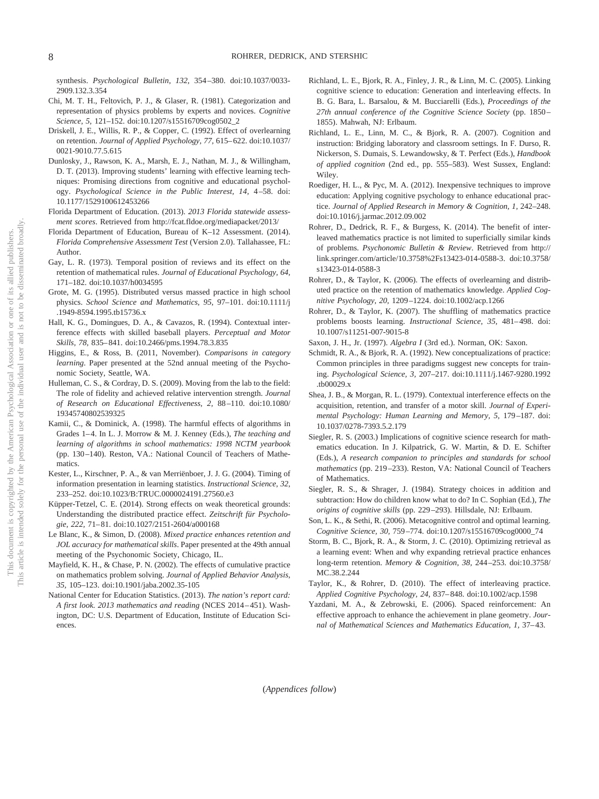synthesis. *Psychological Bulletin, 132,* 354 –380. doi:10.1037/0033- 2909.132.3.354

- Chi, M. T. H., Feltovich, P. J., & Glaser, R. (1981). Categorization and representation of physics problems by experts and novices. *Cognitive Science, 5,* 121–152. doi:10.1207/s15516709cog0502\_2
- Driskell, J. E., Willis, R. P., & Copper, C. (1992). Effect of overlearning on retention. *Journal of Applied Psychology, 77,* 615– 622. doi:10.1037/ 0021-9010.77.5.615
- Dunlosky, J., Rawson, K. A., Marsh, E. J., Nathan, M. J., & Willingham, D. T. (2013). Improving students' learning with effective learning techniques: Promising directions from cognitive and educational psychology. *Psychological Science in the Public Interest, 14,* 4 –58. doi: 10.1177/1529100612453266
- Florida Department of Education. (2013). *2013 Florida statewide assessment scores*. Retrieved from http://fcat.fldoe.org/mediapacket/2013/
- Florida Department of Education, Bureau of K–12 Assessment. (2014). *Florida Comprehensive Assessment Test* (Version 2.0). Tallahassee, FL: Author.
- Gay, L. R. (1973). Temporal position of reviews and its effect on the retention of mathematical rules. *Journal of Educational Psychology, 64,* 171–182. doi:10.1037/h0034595
- Grote, M. G. (1995). Distributed versus massed practice in high school physics. *School Science and Mathematics, 95,* 97–101. doi:10.1111/j .1949-8594.1995.tb15736.x
- Hall, K. G., Domingues, D. A., & Cavazos, R. (1994). Contextual interference effects with skilled baseball players. *Perceptual and Motor Skills, 78,* 835– 841. doi:10.2466/pms.1994.78.3.835
- Higgins, E., & Ross, B. (2011, November). *Comparisons in category learning*. Paper presented at the 52nd annual meeting of the Psychonomic Society, Seattle, WA.
- Hulleman, C. S., & Cordray, D. S. (2009). Moving from the lab to the field: The role of fidelity and achieved relative intervention strength. *Journal of Research on Educational Effectiveness, 2,* 88 –110. doi:10.1080/ 19345740802539325
- Kamii, C., & Dominick, A. (1998). The harmful effects of algorithms in Grades 1– 4. In L. J. Morrow & M. J. Kenney (Eds.), *The teaching and learning of algorithms in school mathematics: 1998 NCTM yearbook* (pp. 130 –140). Reston, VA.: National Council of Teachers of Mathematics.
- Kester, L., Kirschner, P. A., & van Merriënboer, J. J. G. (2004). Timing of information presentation in learning statistics. *Instructional Science, 32,* 233–252. doi:10.1023/B:TRUC.0000024191.27560.e3
- Küpper-Tetzel, C. E. (2014). Strong effects on weak theoretical grounds: Understanding the distributed practice effect. *Zeitschrift für Psychologie, 222,* 71– 81. doi:10.1027/2151-2604/a000168
- Le Blanc, K., & Simon, D. (2008). *Mixed practice enhances retention and JOL accuracy for mathematical skills*. Paper presented at the 49th annual meeting of the Psychonomic Society, Chicago, IL.
- Mayfield, K. H., & Chase, P. N. (2002). The effects of cumulative practice on mathematics problem solving. *Journal of Applied Behavior Analysis, 35,* 105–123. doi:10.1901/jaba.2002.35-105
- National Center for Education Statistics. (2013). *The nation's report card: A first look. 2013 mathematics and reading* (NCES 2014 – 451). Washington, DC: U.S. Department of Education, Institute of Education Sciences.
- Richland, L. E., Bjork, R. A., Finley, J. R., & Linn, M. C. (2005). Linking cognitive science to education: Generation and interleaving effects. In B. G. Bara, L. Barsalou, & M. Bucciarelli (Eds.), *Proceedings of the 27th annual conference of the Cognitive Science Society* (pp. 1850 – 1855). Mahwah, NJ: Erlbaum.
- Richland, L. E., Linn, M. C., & Bjork, R. A. (2007). Cognition and instruction: Bridging laboratory and classroom settings. In F. Durso, R. Nickerson, S. Dumais, S. Lewandowsky, & T. Perfect (Eds.), *Handbook of applied cognition* (2nd ed., pp. 555–583). West Sussex, England: Wiley.
- Roediger, H. L., & Pyc, M. A. (2012). Inexpensive techniques to improve education: Applying cognitive psychology to enhance educational practice. *Journal of Applied Research in Memory & Cognition, 1,* 242–248. doi:10.1016/j.jarmac.2012.09.002
- Rohrer, D., Dedrick, R. F., & Burgess, K. (2014). The benefit of interleaved mathematics practice is not limited to superficially similar kinds of problems. *Psychonomic Bulletin & Review*. Retrieved from http:// link.springer.com/article/10.3758%2Fs13423-014-0588-3. doi:10.3758/ s13423-014-0588-3
- Rohrer, D., & Taylor, K. (2006). The effects of overlearning and distributed practice on the retention of mathematics knowledge. *Applied Cognitive Psychology, 20,* 1209 –1224. doi:10.1002/acp.1266
- Rohrer, D., & Taylor, K. (2007). The shuffling of mathematics practice problems boosts learning. *Instructional Science*, 35, 481-498. doi: 10.1007/s11251-007-9015-8
- Saxon, J. H., Jr. (1997). *Algebra I* (3rd ed.). Norman, OK: Saxon.
- Schmidt, R. A., & Bjork, R. A. (1992). New conceptualizations of practice: Common principles in three paradigms suggest new concepts for training. *Psychological Science, 3,* 207–217. doi:10.1111/j.1467-9280.1992 .tb00029.x
- Shea, J. B., & Morgan, R. L. (1979). Contextual interference effects on the acquisition, retention, and transfer of a motor skill. *Journal of Experimental Psychology: Human Learning and Memory, 5,* 179 –187. doi: 10.1037/0278-7393.5.2.179
- Siegler, R. S. (2003.) Implications of cognitive science research for mathematics education. In J. Kilpatrick, G. W. Martin, & D. E. Schifter (Eds.), *A research companion to principles and standards for school mathematics* (pp. 219 –233). Reston, VA: National Council of Teachers of Mathematics.
- Siegler, R. S., & Shrager, J. (1984). Strategy choices in addition and subtraction: How do children know what to do? In C. Sophian (Ed.), *The origins of cognitive skills* (pp. 229 –293). Hillsdale, NJ: Erlbaum.
- Son, L. K., & Sethi, R. (2006). Metacognitive control and optimal learning. *Cognitive Science, 30,* 759 –774. doi:10.1207/s15516709cog0000\_74
- Storm, B. C., Bjork, R. A., & Storm, J. C. (2010). Optimizing retrieval as a learning event: When and why expanding retrieval practice enhances long-term retention. *Memory & Cognition, 38,* 244 –253. doi:10.3758/ MC.38.2.244
- Taylor, K., & Rohrer, D. (2010). The effect of interleaving practice. *Applied Cognitive Psychology, 24,* 837– 848. doi:10.1002/acp.1598
- Yazdani, M. A., & Zebrowski, E. (2006). Spaced reinforcement: An effective approach to enhance the achievement in plane geometry. *Journal of Mathematical Sciences and Mathematics Education, 1,* 37– 43.